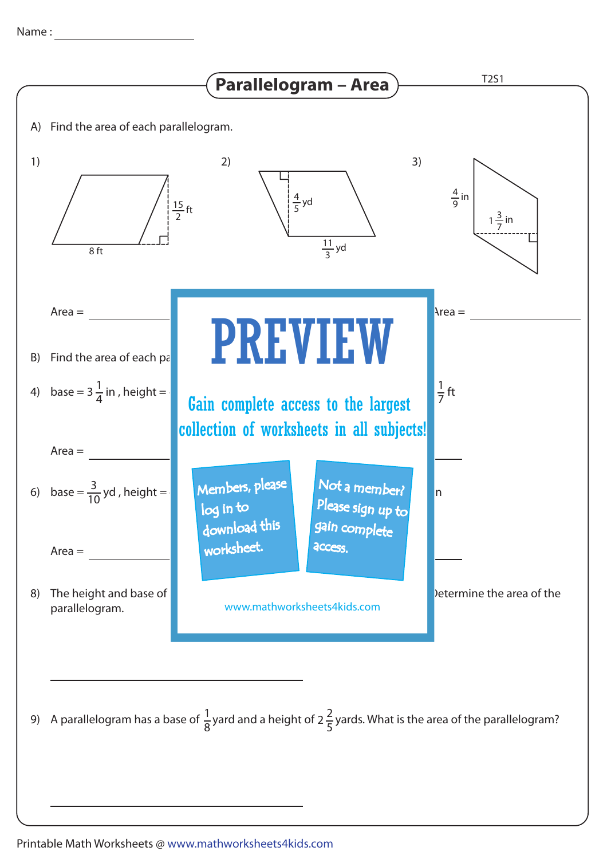